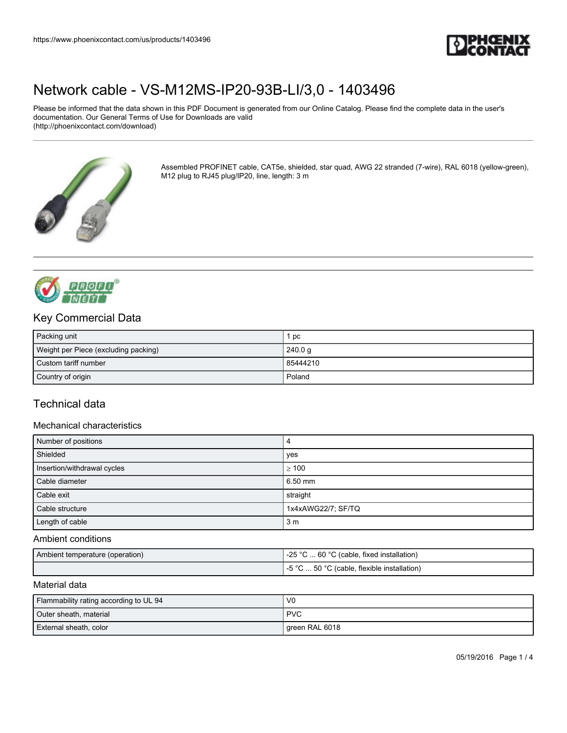

Please be informed that the data shown in this PDF Document is generated from our Online Catalog. Please find the complete data in the user's documentation. Our General Terms of Use for Downloads are valid (http://phoenixcontact.com/download)



Assembled PROFINET cable, CAT5e, shielded, star quad, AWG 22 stranded (7-wire), RAL 6018 (yellow-green), M12 plug to RJ45 plug/IP20, line, length: 3 m



## Key Commercial Data

| Packing unit                         | pc       |
|--------------------------------------|----------|
| Weight per Piece (excluding packing) | 240.0 g  |
| Custom tariff number                 | 85444210 |
| Country of origin                    | Poland   |

## Technical data

#### Mechanical characteristics

| Number of positions         | 4                  |
|-----------------------------|--------------------|
| Shielded                    | yes                |
| Insertion/withdrawal cycles | >100               |
| Cable diameter              | 6.50 mm            |
| Cable exit                  | straight           |
| Cable structure             | 1x4xAWG22/7; SF/TQ |
| Length of cable             | 3 <sub>m</sub>     |

#### Ambient conditions

| Ambient temperature (operation) | <b>OF</b> OF<br>. 60 °C<br>°C (cable, fixed installation)<br>ن∠- |
|---------------------------------|------------------------------------------------------------------|
|                                 | -5 °C<br>.50 °C (cable, flexible installation)                   |

#### Material data

| Flammability rating according to UL 94 | V <sub>0</sub> |
|----------------------------------------|----------------|
| Outer sheath, material                 | <b>PVC</b>     |
| External sheath, color                 | green RAL 6018 |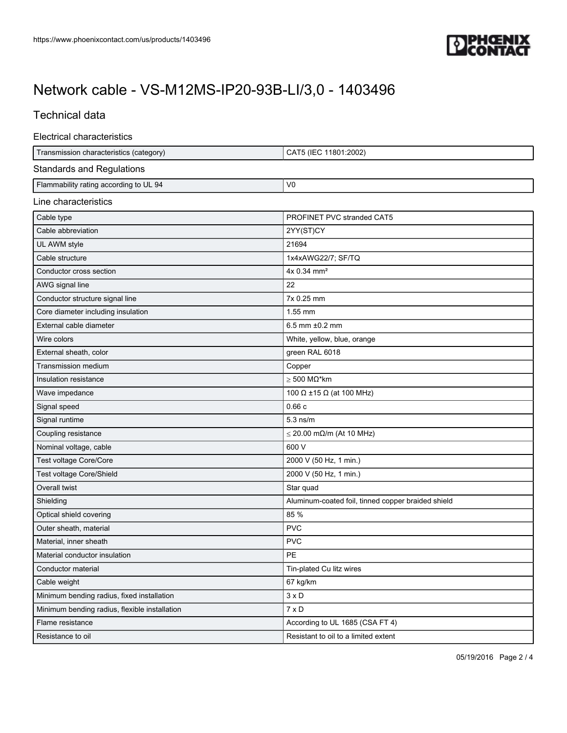

## Technical data

#### Electrical characteristics

| Transmission characteristics (category)       | CAT5 (IEC 11801:2002)                              |
|-----------------------------------------------|----------------------------------------------------|
| <b>Standards and Regulations</b>              |                                                    |
| Flammability rating according to UL 94        | V <sub>0</sub>                                     |
| Line characteristics                          |                                                    |
| Cable type                                    | PROFINET PVC stranded CAT5                         |
| Cable abbreviation                            | 2YY(ST)CY                                          |
| UL AWM style                                  | 21694                                              |
| Cable structure                               | 1x4xAWG22/7; SF/TQ                                 |
| Conductor cross section                       | 4x 0.34 mm <sup>2</sup>                            |
| AWG signal line                               | 22                                                 |
| Conductor structure signal line               | 7x 0.25 mm                                         |
| Core diameter including insulation            | 1.55 mm                                            |
| External cable diameter                       | 6.5 mm ±0.2 mm                                     |
| Wire colors                                   | White, yellow, blue, orange                        |
| External sheath, color                        | green RAL 6018                                     |
| Transmission medium                           | Copper                                             |
| Insulation resistance                         | $\geq 500$ M $\Omega^*$ km                         |
| Wave impedance                                | 100 $\Omega$ ±15 $\Omega$ (at 100 MHz)             |
| Signal speed                                  | 0.66c                                              |
| Signal runtime                                | $5.3$ ns/m                                         |
| Coupling resistance                           | $\leq$ 20.00 m $\Omega$ /m (At 10 MHz)             |
| Nominal voltage, cable                        | 600 V                                              |
| Test voltage Core/Core                        | 2000 V (50 Hz, 1 min.)                             |
| Test voltage Core/Shield                      | 2000 V (50 Hz, 1 min.)                             |
| Overall twist                                 | Star quad                                          |
| Shielding                                     | Aluminum-coated foil, tinned copper braided shield |
| Optical shield covering                       | 85 %                                               |
| Outer sheath, material                        | <b>PVC</b>                                         |
| Material, inner sheath                        | <b>PVC</b>                                         |
| Material conductor insulation                 | PE                                                 |
| Conductor material                            | Tin-plated Cu litz wires                           |
| Cable weight                                  | 67 kg/km                                           |
| Minimum bending radius, fixed installation    | $3 \times D$                                       |
| Minimum bending radius, flexible installation | $7 \times D$                                       |
| Flame resistance                              | According to UL 1685 (CSA FT 4)                    |
| Resistance to oil                             | Resistant to oil to a limited extent               |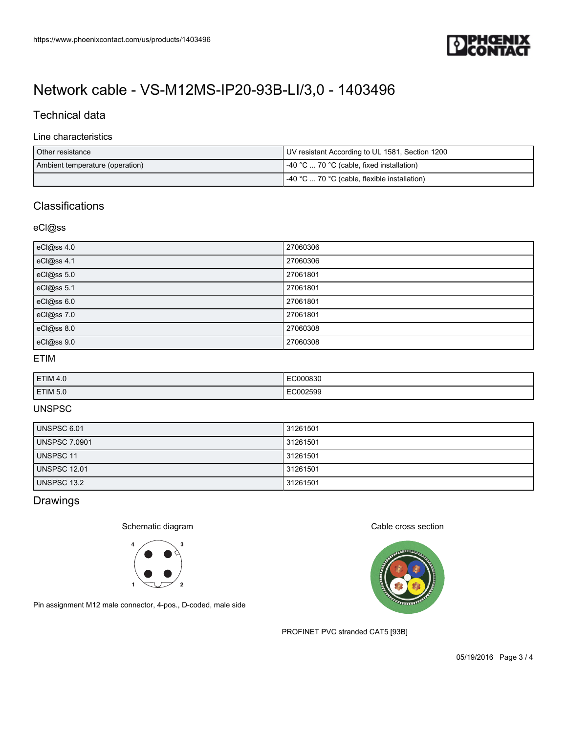

## Technical data

#### Line characteristics

| Other resistance                | UV resistant According to UL 1581, Section 1200   |
|---------------------------------|---------------------------------------------------|
| Ambient temperature (operation) | $\vert$ -40 °C  70 °C (cable, fixed installation) |
|                                 | -40 °C  70 °C (cable, flexible installation)      |

## **Classifications**

#### eCl@ss

| eCl@ss 4.0 | 27060306 |
|------------|----------|
| eCl@ss 4.1 | 27060306 |
| eCl@ss 5.0 | 27061801 |
| eCl@ss 5.1 | 27061801 |
| eCl@ss 6.0 | 27061801 |
| eCl@ss 7.0 | 27061801 |
| eCl@ss 8.0 | 27060308 |
| eCl@ss 9.0 | 27060308 |

### ETIM

| <b>ETIM 4.0</b> | EC000830<br>.                  |
|-----------------|--------------------------------|
| <b>ETIM 5.0</b> | <b>ECOODEDC</b><br>פכאסטי<br>. |

### UNSPSC

| UNSPSC 6.01          | 31261501 |
|----------------------|----------|
| <b>UNSPSC 7.0901</b> | 31261501 |
| <b>UNSPSC 11</b>     | 31261501 |
| <b>UNSPSC 12.01</b>  | 31261501 |
| UNSPSC 13.2          | 31261501 |

## Drawings

### Schematic diagram



Pin assignment M12 male connector, 4-pos., D-coded, male side

#### Cable cross section



PROFINET PVC stranded CAT5 [93B]